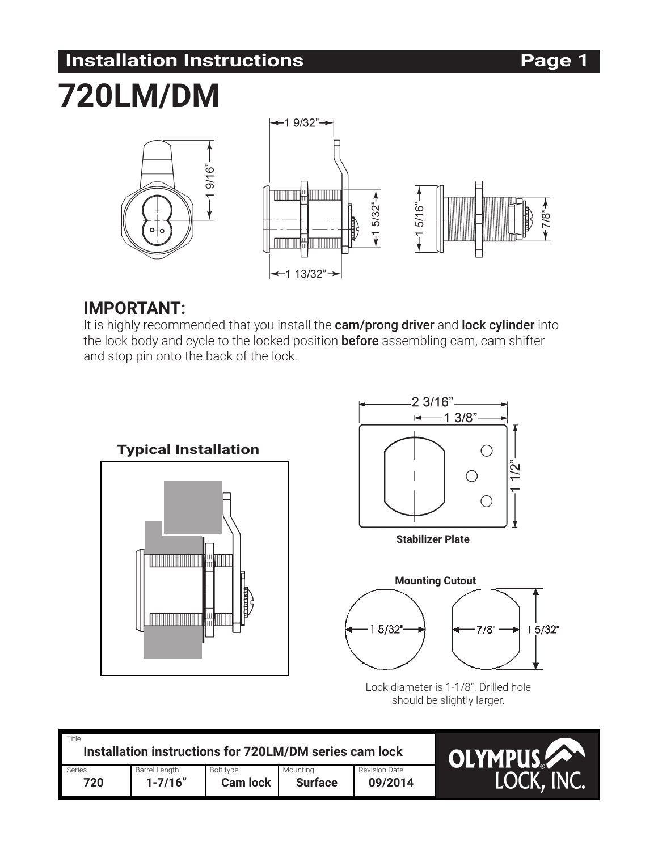# **Installation Instructions Page 1**

# **720LM/DM**



### **IMPORTANT:**

It is highly recommended that you install the cam/prong driver and lock cylinder into the lock body and cycle to the locked position **before** assembling cam, cam shifter and stop pin onto the back of the lock.



Lock diameter is 1-1/8". Drilled hole should be slightly larger.

| Title<br>Installation instructions for 720LM/DM series cam lock |               |                 |                |               | <b>OLYMPUS</b> |
|-----------------------------------------------------------------|---------------|-----------------|----------------|---------------|----------------|
| Series                                                          | Barrel Length | Bolt type       | Mountina       | Revision Date |                |
| 720                                                             | $1 - 7/16"$   | <b>Cam lock</b> | <b>Surface</b> | 09/2014       | LOCK, INC.     |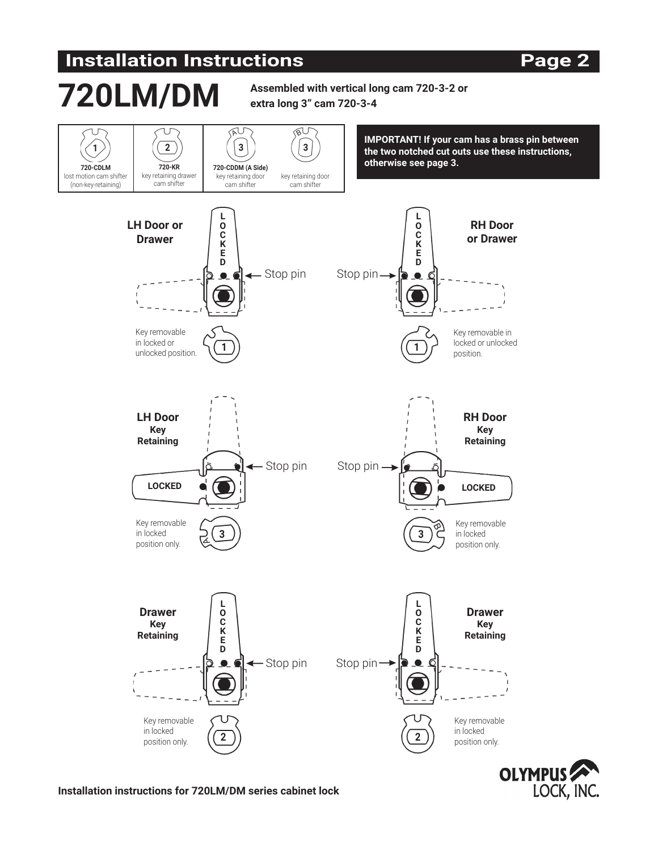# **Installation Instructions Page 2**

### **Assembled with vertical long cam 720-3-2 or extra long 3" cam 720-3-4**  $\overline{\mathbb{R}^U}$  $\overline{\mathbb{R}^U}$ **IMPORTANT! If your cam has a brass pin between 1 2 3 3 the two notched cut outs use these instructions, T20-CDLM 720-KR 720-CDDM** (A Side) **120-CDDM** (A Side) **720-KR 720-CDDM (A Side)** lost motion cam shifter key retaining drawer key retaining door key retaining door (non-key-retaining) cam shifter cam shifter cam shifter **L L LH Door or O RH Door O C C Drawer or Drawer K K E E D D** - Stop pin Stop pin - $\bullet$  $\bullet$ K Key removable Key removable in in locked or locked or unlocked **1 1** unlocked position. position. **LH Door RH Door Key Key Retaining Retaining** - Stop pin Stop pin -**LOCKED LOCKED** Key removable Key removable in locked in locked **3 3** position only. position only. **L L Drawer O Drawer O Key C C Key K K Retaining Retaining E E DD** ← Stop pin Stop pin Stop  $\bullet$  $\bullet$

**2 2**



Key removable in locked position only.

**Installation instructions for 720LM/DM series cabinet lock**

Key removable in locked position only.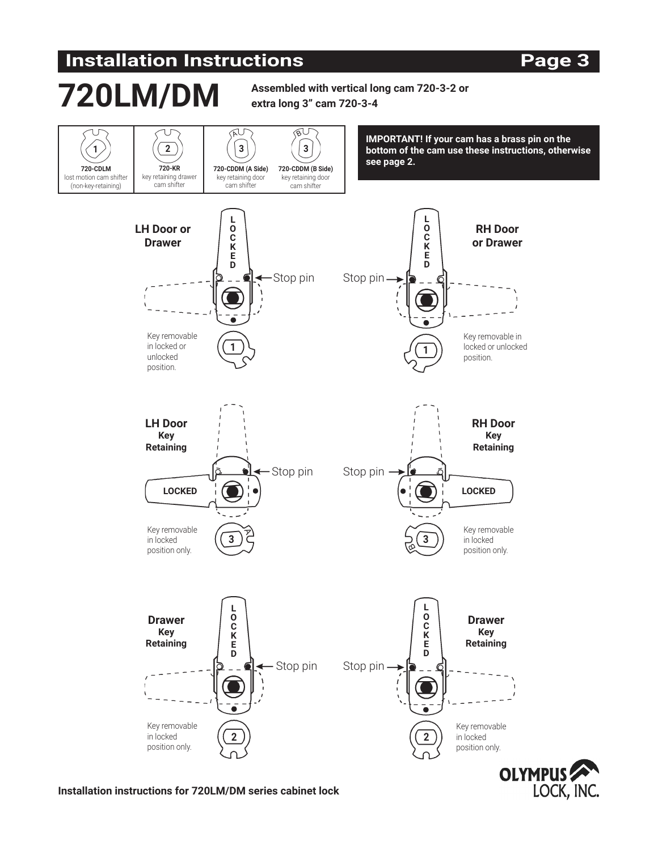# **Installation Instructions Page 3**



**Installation instructions for 720LM/DM series cabinet lock**